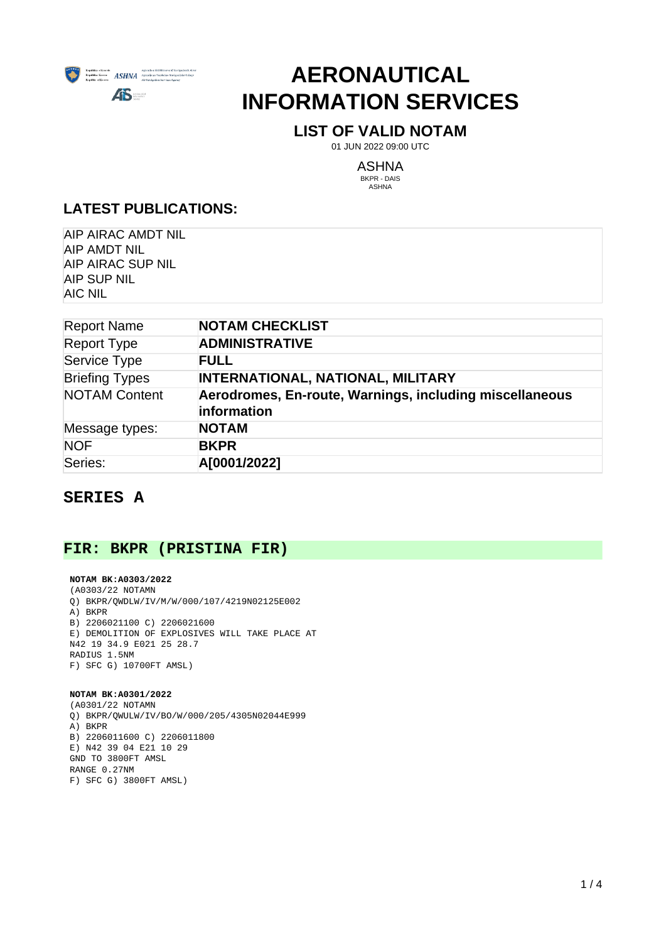

# **AERONAUTICAL INFORMATION SERVICES**

# **LIST OF VALID NOTAM**

01 JUN 2022 09:00 UTC

ASHNA

BKPR - DAIS ASHNA

# **LATEST PUBLICATIONS:**

AIP AIRAC AMDT NIL AIP AMDT NIL AIP AIRAC SUP NIL AIP SUP NIL AIC NIL

| <b>Report Name</b>    | <b>NOTAM CHECKLIST</b>                                                 |
|-----------------------|------------------------------------------------------------------------|
| <b>Report Type</b>    | <b>ADMINISTRATIVE</b>                                                  |
| Service Type          | <b>FULL</b>                                                            |
| <b>Briefing Types</b> | <b>INTERNATIONAL, NATIONAL, MILITARY</b>                               |
| <b>NOTAM Content</b>  | Aerodromes, En-route, Warnings, including miscellaneous<br>information |
| Message types:        | <b>NOTAM</b>                                                           |
| <b>NOF</b>            | <b>BKPR</b>                                                            |
| Series:               | A[0001/2022]                                                           |

# **SERIES A**

# **FIR: BKPR (PRISTINA FIR)**

## **NOTAM BK:A0303/2022** (A0303/22 NOTAMN Q) BKPR/QWDLW/IV/M/W/000/107/4219N02125E002 A) BKPR B) 2206021100 C) 2206021600 E) DEMOLITION OF EXPLOSIVES WILL TAKE PLACE AT N42 19 34.9 E021 25 28.7 RADIUS 1.5NM F) SFC G) 10700FT AMSL)

# **NOTAM BK:A0301/2022**

(A0301/22 NOTAMN Q) BKPR/QWULW/IV/BO/W/000/205/4305N02044E999 A) BKPR B) 2206011600 C) 2206011800 E) N42 39 04 E21 10 29 GND TO 3800FT AMSL RANGE 0.27NM F) SFC G) 3800FT AMSL)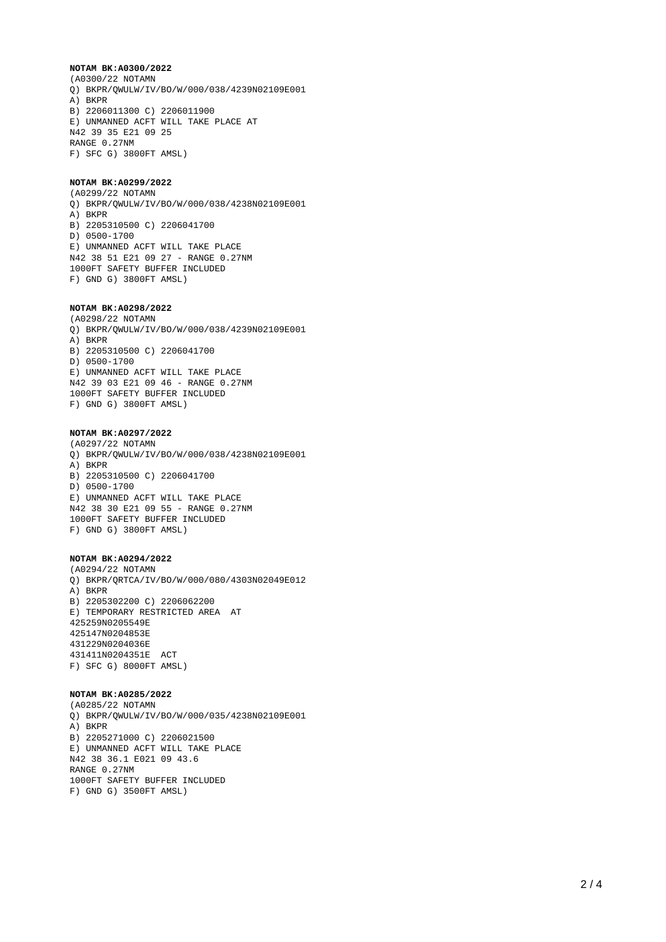#### **NOTAM BK:A0300/2022**

(A0300/22 NOTAMN Q) BKPR/QWULW/IV/BO/W/000/038/4239N02109E001 A) BKPR B) 2206011300 C) 2206011900 E) UNMANNED ACFT WILL TAKE PLACE AT N42 39 35 E21 09 25 RANGE 0.27NM F) SFC G) 3800FT AMSL)

## **NOTAM BK:A0299/2022**

(A0299/22 NOTAMN Q) BKPR/QWULW/IV/BO/W/000/038/4238N02109E001 A) BKPR B) 2205310500 C) 2206041700 D) 0500-1700 E) UNMANNED ACFT WILL TAKE PLACE N42 38 51 E21 09 27 - RANGE 0.27NM 1000FT SAFETY BUFFER INCLUDED F) GND G) 3800FT AMSL)

## **NOTAM BK:A0298/2022**

(A0298/22 NOTAMN Q) BKPR/QWULW/IV/BO/W/000/038/4239N02109E001 A) BKPR B) 2205310500 C) 2206041700 D) 0500-1700 E) UNMANNED ACFT WILL TAKE PLACE N42 39 03 E21 09 46 - RANGE 0.27NM 1000FT SAFETY BUFFER INCLUDED F) GND G) 3800FT AMSL)

# **NOTAM BK:A0297/2022**

(A0297/22 NOTAMN Q) BKPR/QWULW/IV/BO/W/000/038/4238N02109E001 A) BKPR B) 2205310500 C) 2206041700 D) 0500-1700 E) UNMANNED ACFT WILL TAKE PLACE N42 38 30 E21 09 55 - RANGE 0.27NM 1000FT SAFETY BUFFER INCLUDED F) GND G) 3800FT AMSL)

#### **NOTAM BK:A0294/2022**

(A0294/22 NOTAMN Q) BKPR/QRTCA/IV/BO/W/000/080/4303N02049E012 A) BKPR B) 2205302200 C) 2206062200 E) TEMPORARY RESTRICTED AREA AT 425259N0205549E 425147N0204853E 431229N0204036E 431411N0204351E ACT F) SFC G) 8000FT AMSL)

#### **NOTAM BK:A0285/2022**

(A0285/22 NOTAMN Q) BKPR/QWULW/IV/BO/W/000/035/4238N02109E001 A) BKPR B) 2205271000 C) 2206021500 E) UNMANNED ACFT WILL TAKE PLACE N42 38 36.1 E021 09 43.6 RANGE 0.27NM 1000FT SAFETY BUFFER INCLUDED F) GND G) 3500FT AMSL)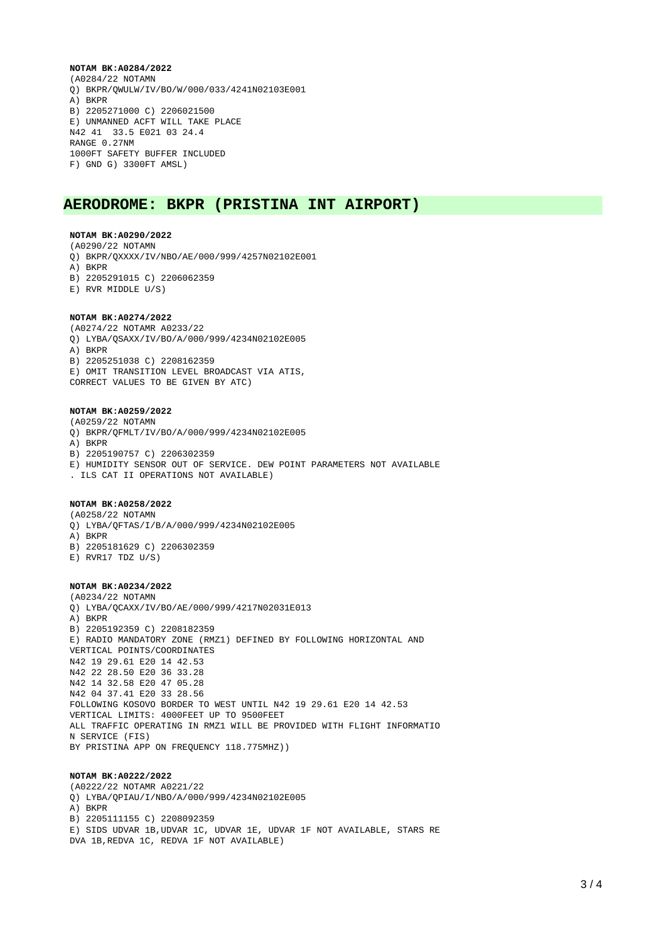#### **NOTAM BK:A0284/2022**

(A0284/22 NOTAMN Q) BKPR/QWULW/IV/BO/W/000/033/4241N02103E001 A) BKPR B) 2205271000 C) 2206021500 E) UNMANNED ACFT WILL TAKE PLACE N42 41 33.5 E021 03 24.4 RANGE 0.27NM 1000FT SAFETY BUFFER INCLUDED F) GND G) 3300FT AMSL)

# **AERODROME: BKPR (PRISTINA INT AIRPORT)**

#### **NOTAM BK:A0290/2022**

(A0290/22 NOTAMN

- Q) BKPR/QXXXX/IV/NBO/AE/000/999/4257N02102E001
- A) BKPR
- B) 2205291015 C) 2206062359
- E) RVR MIDDLE U/S)

#### **NOTAM BK:A0274/2022**

(A0274/22 NOTAMR A0233/22 Q) LYBA/QSAXX/IV/BO/A/000/999/4234N02102E005 A) BKPR B) 2205251038 C) 2208162359 E) OMIT TRANSITION LEVEL BROADCAST VIA ATIS,

CORRECT VALUES TO BE GIVEN BY ATC)

#### **NOTAM BK:A0259/2022**

(A0259/22 NOTAMN

- Q) BKPR/QFMLT/IV/BO/A/000/999/4234N02102E005
- A) BKPR
- B) 2205190757 C) 2206302359
- E) HUMIDITY SENSOR OUT OF SERVICE. DEW POINT PARAMETERS NOT AVAILABLE
- . ILS CAT II OPERATIONS NOT AVAILABLE)

#### **NOTAM BK:A0258/2022**

(A0258/22 NOTAMN Q) LYBA/QFTAS/I/B/A/000/999/4234N02102E005 A) BKPR B) 2205181629 C) 2206302359 E) RVR17 TDZ U/S)

## **NOTAM BK:A0234/2022**

(A0234/22 NOTAMN Q) LYBA/QCAXX/IV/BO/AE/000/999/4217N02031E013 A) BKPR B) 2205192359 C) 2208182359 E) RADIO MANDATORY ZONE (RMZ1) DEFINED BY FOLLOWING HORIZONTAL AND VERTICAL POINTS/COORDINATES N42 19 29.61 E20 14 42.53 N42 22 28.50 E20 36 33.28 N42 14 32.58 E20 47 05.28 N42 04 37.41 E20 33 28.56 FOLLOWING KOSOVO BORDER TO WEST UNTIL N42 19 29.61 E20 14 42.53 VERTICAL LIMITS: 4000FEET UP TO 9500FEET ALL TRAFFIC OPERATING IN RMZ1 WILL BE PROVIDED WITH FLIGHT INFORMATIO N SERVICE (FIS) BY PRISTINA APP ON FREQUENCY 118.775MHZ))

#### **NOTAM BK:A0222/2022**

(A0222/22 NOTAMR A0221/22 Q) LYBA/QPIAU/I/NBO/A/000/999/4234N02102E005 A) BKPR B) 2205111155 C) 2208092359 E) SIDS UDVAR 1B,UDVAR 1C, UDVAR 1E, UDVAR 1F NOT AVAILABLE, STARS RE DVA 1B,REDVA 1C, REDVA 1F NOT AVAILABLE)